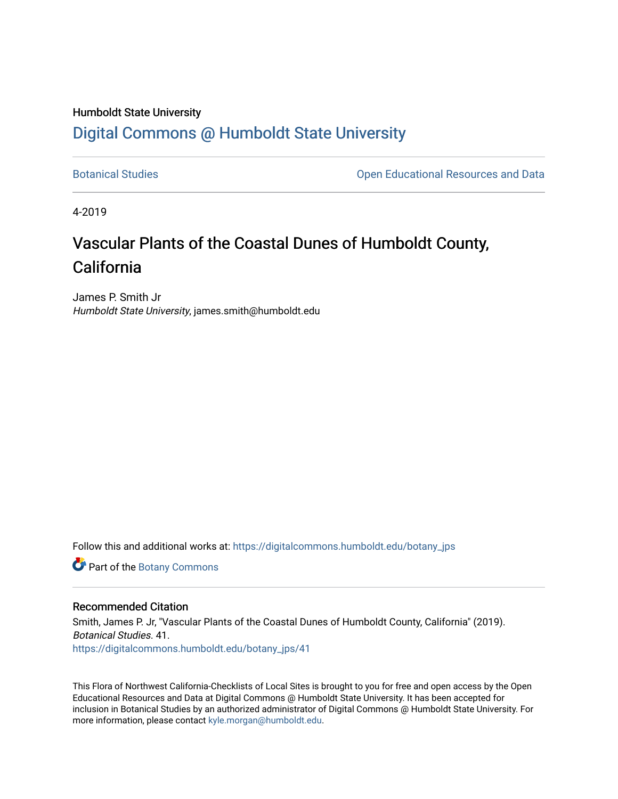# Humboldt State University [Digital Commons @ Humboldt State University](https://digitalcommons.humboldt.edu/)

[Botanical Studies](https://digitalcommons.humboldt.edu/botany_jps) **Botanical Studies Open Educational Resources and Data** 

4-2019

# Vascular Plants of the Coastal Dunes of Humboldt County, California

James P. Smith Jr Humboldt State University, james.smith@humboldt.edu

Follow this and additional works at: [https://digitalcommons.humboldt.edu/botany\\_jps](https://digitalcommons.humboldt.edu/botany_jps?utm_source=digitalcommons.humboldt.edu%2Fbotany_jps%2F41&utm_medium=PDF&utm_campaign=PDFCoverPages) 

Part of the [Botany Commons](http://network.bepress.com/hgg/discipline/104?utm_source=digitalcommons.humboldt.edu%2Fbotany_jps%2F41&utm_medium=PDF&utm_campaign=PDFCoverPages) 

# Recommended Citation

Smith, James P. Jr, "Vascular Plants of the Coastal Dunes of Humboldt County, California" (2019). Botanical Studies. 41. [https://digitalcommons.humboldt.edu/botany\\_jps/41](https://digitalcommons.humboldt.edu/botany_jps/41?utm_source=digitalcommons.humboldt.edu%2Fbotany_jps%2F41&utm_medium=PDF&utm_campaign=PDFCoverPages) 

This Flora of Northwest California-Checklists of Local Sites is brought to you for free and open access by the Open Educational Resources and Data at Digital Commons @ Humboldt State University. It has been accepted for inclusion in Botanical Studies by an authorized administrator of Digital Commons @ Humboldt State University. For more information, please contact [kyle.morgan@humboldt.edu.](mailto:kyle.morgan@humboldt.edu)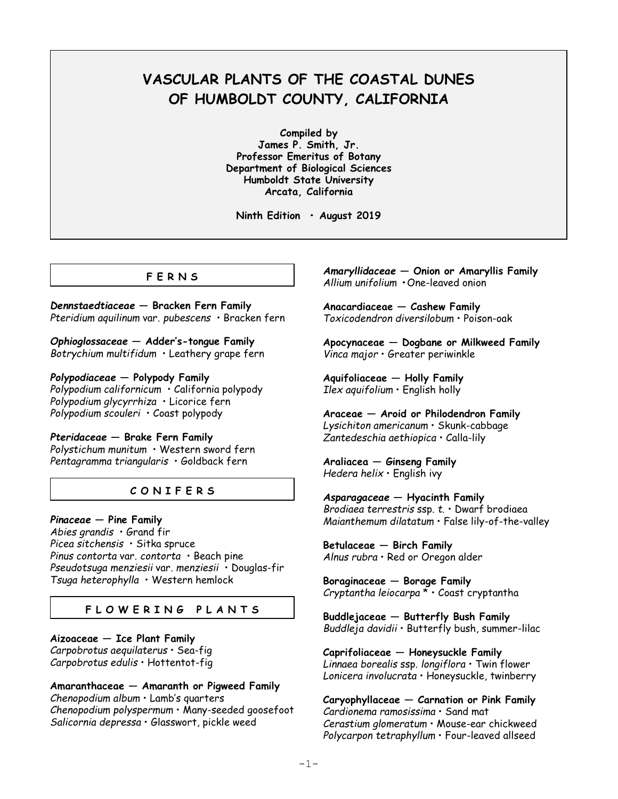# **VASCULAR PLANTS OF THE COASTAL DUNES OF HUMBOLDT COUNTY, CALIFORNIA**

**Compiled by James P. Smith, Jr. Professor Emeritus of Botany Department of Biological Sciences Humboldt State University Arcata, California**

**Ninth Edition • August 2019**

# **F E R N S**

*Dennstaedtiaceae* **— Bracken Fern Family** *Pteridium aquilinum* var. *pubescens* • Bracken fern

*Ophioglossaceae* **— Adder's-tongue Family** *Botrychium multifidum* • Leathery grape fern

*Polypodiaceae* **— Polypody Family** *Polypodium californicum* • California polypody *Polypodium glycyrrhiza* • Licorice fern *Polypodium scouleri* • Coast polypody

*Pteridaceae* **— Brake Fern Family** *Polystichum munitum* • Western sword fern *Pentagramma triangularis* • Goldback fern

# **C O N I F E R S**

*Pinaceae* **— Pine Family** *Abies grandis* • Grand fir *Picea sitchensis* • Sitka spruce *Pinus contorta* var. *contorta* • Beach pine *Pseudotsuga menziesii* var. *menziesii* • Douglas-fir *Tsuga heterophylla* • Western hemlock

# **F L O W E R I N G P L A N T S**

**Aizoaceae — Ice Plant Family** *Carpobrotus aequilaterus* • Sea-fig *Carpobrotus edulis* • Hottentot-fig

**Amaranthaceae — Amaranth or Pigweed Family** *Chenopodium album* • Lamb's quarters *Chenopodium polyspermum* • Many-seeded goosefoot *Salicornia depressa* • Glasswort, pickle weed

*Amaryllidaceae* **— Onion or Amaryllis Family** *Allium unifolium* **•**One-leaved onion

**Anacardiaceae — Cashew Family** *Toxicodendron diversilobum* • Poison-oak

**Apocynaceae — Dogbane or Milkweed Family** *Vinca major* • Greater periwinkle

**Aquifoliaceae — Holly Family** *Ilex aquifolium* • English holly

**Araceae — Aroid or Philodendron Family** *Lysichiton americanum* • Skunk-cabbage *Zantedeschia aethiopica* • Calla-lily

**Araliacea — Ginseng Family** *Hedera helix* • English ivy

*Asparagaceae* **— Hyacinth Family** *Brodiaea terrestris* ssp. *t.* • Dwarf brodiaea *Maianthemum dilatatum* • False lily-of-the-valley

**Betulaceae — Birch Family** *Alnus rubra* • Red or Oregon alder

**Boraginaceae — Borage Family** *Cryptantha leiocarpa* \* • Coast cryptantha

**Buddlejaceae — Butterfly Bush Family** *Buddleja davidii* • Butterfly bush, summer-lilac

**Caprifoliaceae — Honeysuckle Family** *Linnaea borealis* ssp. *longiflora* • Twin flower *Lonicera involucrata* • Honeysuckle, twinberry

**Caryophyllaceae — Carnation or Pink Family** *Cardionema ramosissima* • Sand mat *Cerastium glomeratum* • Mouse-ear chickweed *Polycarpon tetraphyllum* • Four-leaved allseed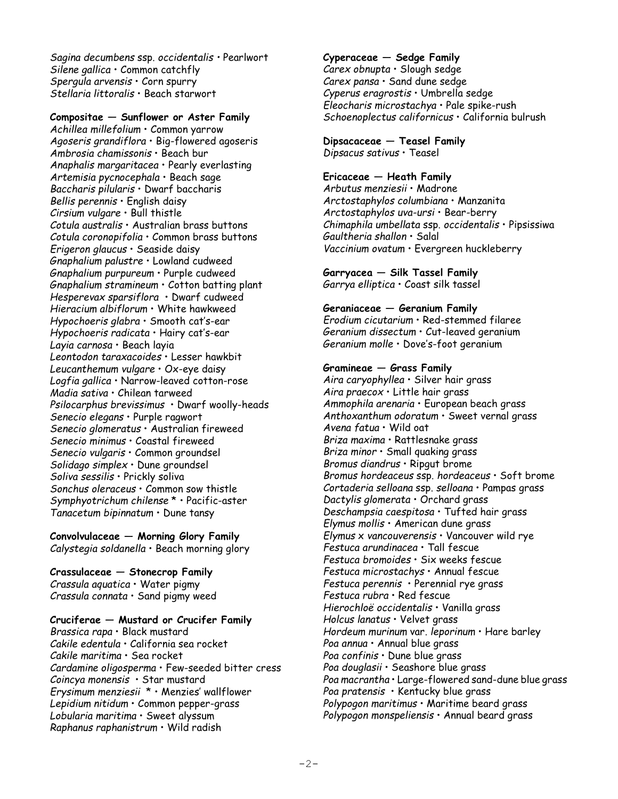*Sagina decumbens* ssp. *occidentalis •* Pearlwort *Silene gallica* • Common catchfly *Spergula arvensis* • Corn spurry *Stellaria littoralis* • Beach starwort

# **Compositae — Sunflower or Aster Family**

*Achillea millefolium* • Common yarrow *Agoseris grandiflora* • Big-flowered agoseris *Ambrosia chamissonis* • Beach bur *Anaphalis margaritacea* • Pearly everlasting *Artemisia pycnocephala* • Beach sage *Baccharis pilularis* • Dwarf baccharis *Bellis perennis* • English daisy *Cirsium vulgare* • Bull thistle *Cotula australis* • Australian brass buttons *Cotula coronopifolia* • Common brass buttons *Erigeron glaucus* • Seaside daisy *Gnaphalium palustre* • Lowland cudweed *Gnaphalium purpureum* • Purple cudweed *Gnaphalium stramineum* • Cotton batting plant *Hesperevax sparsiflora* • Dwarf cudweed *Hieracium albiflorum* • White hawkweed *Hypochoeris glabra* • Smooth cat's-ear *Hypochoeris radicata* • Hairy cat's-ear *Layia carnosa* • Beach layia *Leontodon taraxacoides* • Lesser hawkbit *Leucanthemum vulgare* • Ox-eye daisy *Logfia gallica* • Narrow-leaved cotton-rose *Madia sativa* • Chilean tarweed *Psilocarphus brevissimus* • Dwarf woolly-heads *Senecio elegans* • Purple ragwort *Senecio glomeratus* • Australian fireweed *Senecio minimus* • Coastal fireweed *Senecio vulgaris* • Common groundsel *Solidago simplex* • Dune groundsel *Soliva sessilis* • Prickly soliva *Sonchus oleraceus* • Common sow thistle *Symphyotrichum chilense* \* • Pacific-aster *Tanacetum bipinnatum* • Dune tansy

**Convolvulaceae — Morning Glory Family** *Calystegia soldanella* • Beach morning glory

# **Crassulaceae — Stonecrop Family** *Crassula aquatica* • Water pigmy

*Crassula connata* • Sand pigmy weed

# **Cruciferae — Mustard or Crucifer Family**

*Brassica rapa* • Black mustard *Cakile edentula* • California sea rocket *Cakile maritima* • Sea rocket *Cardamine oligosperma* • Few-seeded bitter cress *Coincya monensis* • Star mustard *Erysimum menziesii* \* • Menzies' wallflower *Lepidium nitidum* • Common pepper-grass *Lobularia maritima* • Sweet alyssum *Raphanus raphanistrum* • Wild radish

# **Cyperaceae — Sedge Family**

*Carex obnupta* • Slough sedge *Carex pansa* • Sand dune sedge *Cyperus eragrostis* • Umbrella sedge *Eleocharis microstachya* • Pale spike-rush *Schoenoplectus californicus* • California bulrush

### **Dipsacaceae — Teasel Family** *Dipsacus sativus* • Teasel

### **Ericaceae — Heath Family**

*Arbutus menziesii* • Madrone *Arctostaphylos columbiana* • Manzanita *Arctostaphylos uva-ursi* • Bear-berry *Chimaphila umbellata* ssp. *occidentalis* • Pipsissiwa *Gaultheria shallon* • Salal *Vaccinium ovatum* • Evergreen huckleberry

# **Garryacea — Silk Tassel Family**

*Garrya elliptica* • Coast silk tassel

### **Geraniaceae — Geranium Family**

*Erodium cicutarium* • Red-stemmed filaree *Geranium dissectum* • Cut-leaved geranium *Geranium molle* • Dove's-foot geranium

# **Gramineae — Grass Family**

*Aira caryophyllea* • Silver hair grass *Aira praecox* • Little hair grass *Ammophila arenaria* • European beach grass *Anthoxanthum odoratum* • Sweet vernal grass *Avena fatua* • Wild oat *Briza maxima* • Rattlesnake grass *Briza minor* • Small quaking grass *Bromus diandrus* • Ripgut brome *Bromus hordeaceus* ssp. *hordeaceus* • Soft brome *Cortaderia selloana* ssp. *selloana* • Pampas grass *Dactylis glomerata* • Orchard grass *Deschampsia caespitosa* • Tufted hair grass *Elymus mollis* • American dune grass *Elymus* x *vancouverensis* • Vancouver wild rye *Festuca arundinacea* • Tall fescue *Festuca bromoides* • Six weeks fescue *Festuca microstachys* • Annual fescue *Festuca perennis* • Perennial rye grass *Festuca rubra* • Red fescue *Hierochloë occidentalis* • Vanilla grass *Holcus lanatus* • Velvet grass *Hordeum murinum* var. *leporinum* • Hare barley *Poa annua* • Annual blue grass *Poa confinis* • Dune blue grass *Poa douglasii* • Seashore blue grass *Poa macrantha* • Large-flowered sand-dune blue grass *Poa pratensis* • Kentucky blue grass *Polypogon maritimus* • Maritime beard grass *Polypogon monspeliensis* • Annual beard grass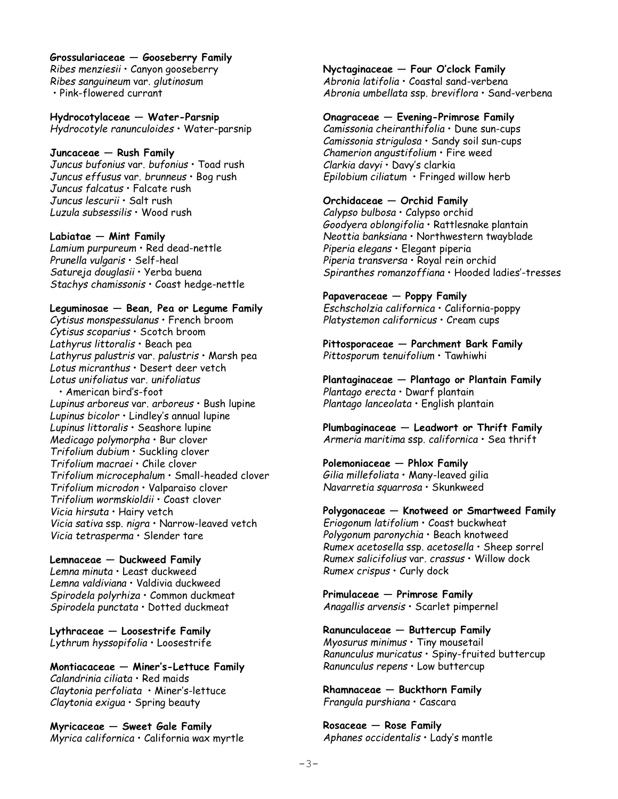**Grossulariaceae — Gooseberry Family** *Ribes menziesii* • Canyon gooseberry *Ribes sanguineum* var. *glutinosum* • Pink-flowered currant

**Hydrocotylaceae — Water-Parsnip** *Hydrocotyle ranunculoides* • Water-parsnip

#### **Juncaceae — Rush Family**

*Juncus bufonius* var. *bufonius* • Toad rush *Juncus effusus* var. *brunneus* • Bog rush *Juncus falcatus* • Falcate rush *Juncus lescurii* • Salt rush *Luzula subsessilis* • Wood rush

#### **Labiatae — Mint Family**

*Lamium purpureum* • Red dead-nettle *Prunella vulgaris* • Self-heal *Satureja douglasii* • Yerba buena *Stachys chamissonis* • Coast hedge-nettle

### **Leguminosae — Bean, Pea or Legume Family**

*Cytisus monspessulanus* • French broom *Cytisus scoparius* • Scotch broom *Lathyrus littoralis* • Beach pea *Lathyrus palustris* var. *palustris* • Marsh pea *Lotus micranthus* • Desert deer vetch *Lotus unifoliatus* var. *unifoliatus*

 • American bird's-foot *Lupinus arboreus* var. *arboreus* • Bush lupine *Lupinus bicolor* • Lindley's annual lupine *Lupinus littoralis* • Seashore lupine *Medicago polymorpha* • Bur clover *Trifolium dubium* • Suckling clover *Trifolium macraei* • Chile clover *Trifolium microcephalum* • Small-headed clover *Trifolium microdon* • Valparaiso clover *Trifolium wormskioldii* • Coast clover *Vicia hirsuta* • Hairy vetch *Vicia sativa* ssp. *nigra* • Narrow-leaved vetch *Vicia tetrasperma* • Slender tare

**Lemnaceae — Duckweed Family** *Lemna minuta* • Least duckweed *Lemna valdiviana* • Valdivia duckweed *Spirodela polyrhiza* • Common duckmeat *Spirodela punctata* • Dotted duckmeat

**Lythraceae — Loosestrife Family** *Lythrum hyssopifolia* • Loosestrife

**Montiacaceae — Miner's-Lettuce Family** *Calandrinia ciliata* • Red maids *Claytonia perfoliata* • Miner's-lettuce *Claytonia exigua* • Spring beauty

**Myricaceae — Sweet Gale Family** *Myrica californica* • California wax myrtle **Nyctaginaceae — Four O'clock Family** *Abronia latifolia* • Coastal sand-verbena *Abronia umbellata* ssp. *breviflora* • Sand-verbena

# **Onagraceae — Evening-Primrose Family**

*Camissonia cheiranthifolia* • Dune sun-cups *Camissonia strigulosa* • Sandy soil sun-cups *Chamerion angustifolium* • Fire weed *Clarkia davyi* • Davy's clarkia *Epilobium ciliatum* • Fringed willow herb

# **Orchidaceae — Orchid Family**

*Calypso bulbosa* • Calypso orchid *Goodyera oblongifolia* • Rattlesnake plantain *Neottia banksiana* • Northwestern twayblade *Piperia elegans* • Elegant piperia *Piperia transversa* • Royal rein orchid *Spiranthes romanzoffiana* • Hooded ladies'-tresses

**Papaveraceae — Poppy Family** *Eschscholzia californica* • California-poppy *Platystemon californicus* • Cream cups

**Pittosporaceae — Parchment Bark Family** *Pittosporum tenuifolium* • Tawhiwhi

**Plantaginaceae — Plantago or Plantain Family** *Plantago erecta* • Dwarf plantain *Plantago lanceolata* • English plantain

**Plumbaginaceae — Leadwort or Thrift Family** *Armeria maritima* ssp. *californica* • Sea thrift

**Polemoniaceae — Phlox Family** *Gilia millefoliata* • Many-leaved gilia *Navarretia squarrosa* • Skunkweed

**Polygonaceae — Knotweed or Smartweed Family** *Eriogonum latifolium* • Coast buckwheat *Polygonum paronychia* • Beach knotweed *Rumex acetosella* ssp. *acetosella* • Sheep sorrel *Rumex salicifolius* var. *crassus* • Willow dock *Rumex crispus* • Curly dock

**Primulaceae — Primrose Family** *Anagallis arvensis* • Scarlet pimpernel

**Ranunculaceae — Buttercup Family** *Myosurus minimus* • Tiny mousetail *Ranunculus muricatus* • Spiny-fruited buttercup *Ranunculus repens* • Low buttercup

**Rhamnaceae — Buckthorn Family** *Frangula purshiana* • Cascara

**Rosaceae — Rose Family** *Aphanes occidentalis* • Lady's mantle